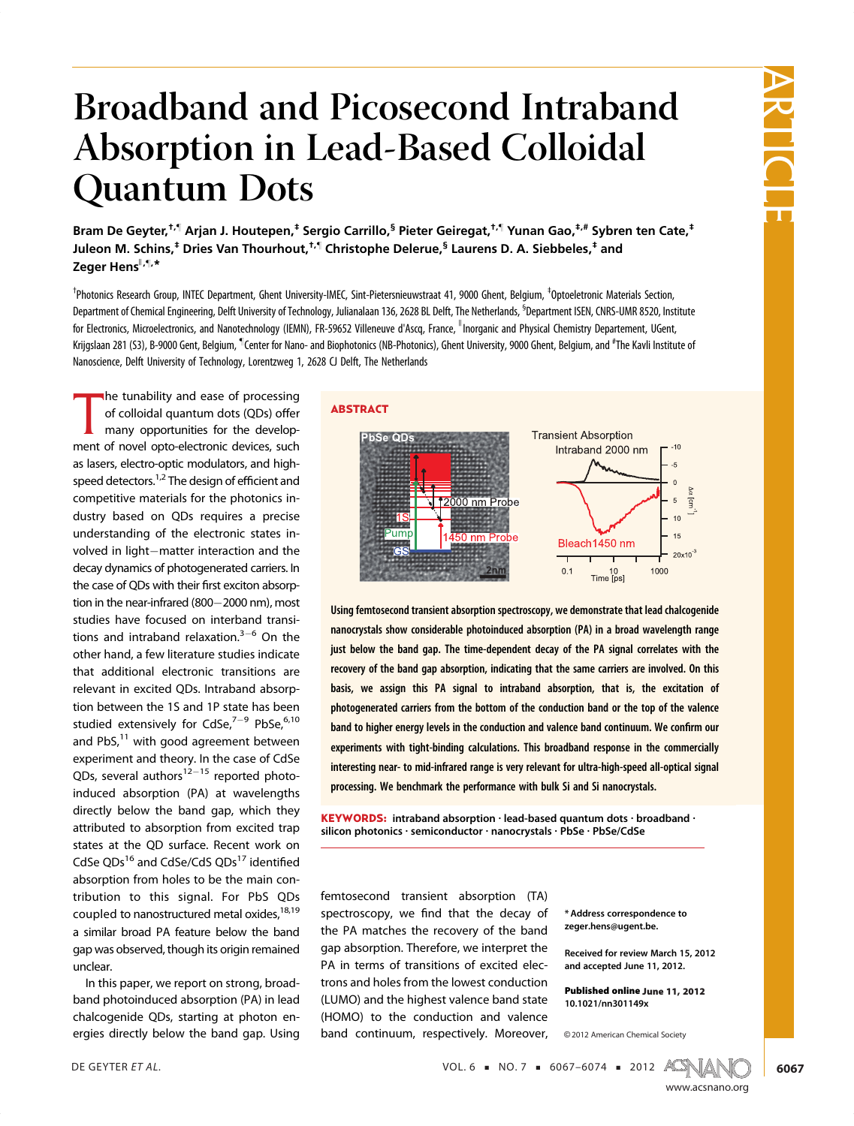# Broadband and Picosecond Intraband Absorption in Lead-Based Colloidal Quantum Dots

Bram De Geyter,<sup>†,¶</sup> Arjan J. Houtepen,<sup>‡</sup> Sergio Carrillo,<sup>§</sup> Pieter Geiregat,<sup>†,¶</sup> Yunan Gao,<sup>‡,#</sup> Sybren ten Cate,<sup>‡</sup> Juleon M. Schins,<sup>‡</sup> Dries Van Thourhout,<sup>†,¶</sup> Christophe Delerue,<sup>§</sup> Laurens D. A. Siebbeles,<sup>‡</sup> and Zeger Hens<sup>II,¶,\*</sup>

<sup>†</sup>Photonics Research Group, INTEC Department, Ghent University-IMEC, Sint-Pietersnieuwstraat 41, 9000 Ghent, Belgium, <sup>‡</sup>Optoeletronic Materials Section, Department of Chemical Engineering, Delft University of Technology, Julianalaan 136, 2628 BL Delft, The Netherlands, <sup>S</sup>Department ISEN, CNRS-UMR 8520, Institute for Electronics, Microelectronics, and Nanotechnology (IEMN), FR-59652 Villeneuve d'Ascq, France, <sup>"</sup>Inorganic and Physical Chemistry Departement, UGent, Krijgslaan 281 (S3), B-9000 Gent, Belgium, <sup>¶</sup>Center for Nano- and Biophotonics (NB-Photonics), Ghent University, 9000 Ghent, Belgium, and #The Kavli Institute of Nanoscience, Delft University of Technology, Lorentzweg 1, 2628 CJ Delft, The Netherlands

ABSTRACT

The tunability and ease or processing<br>of colloidal quantum dots (QDs) offer<br>many opportunities for the develop-<br>ment of novel opto-electronic devices, such he tunability and ease of processing of colloidal quantum dots (QDs) offer many opportunities for the developas lasers, electro-optic modulators, and highspeed detectors.<sup>1,2</sup> The design of efficient and competitive materials for the photonics industry based on QDs requires a precise understanding of the electronic states involved in light-matter interaction and the decay dynamics of photogenerated carriers. In the case of QDs with their first exciton absorption in the near-infrared  $(800-2000$  nm), most studies have focused on interband transitions and intraband relaxation. $3-6$  On the other hand, a few literature studies indicate that additional electronic transitions are relevant in excited QDs. Intraband absorption between the 1S and 1P state has been studied extensively for CdSe, $7-9$  PbSe, $6,10$ and PbS,<sup>11</sup> with good agreement between experiment and theory. In the case of CdSe QDs, several authors $12-15$  reported photoinduced absorption (PA) at wavelengths directly below the band gap, which they attributed to absorption from excited trap states at the QD surface. Recent work on CdSe QDs<sup>16</sup> and CdSe/CdS QDs<sup>17</sup> identified absorption from holes to be the main contribution to this signal. For PbS QDs coupled to nanostructured metal oxides,<sup>18,19</sup> a similar broad PA feature below the band gap was observed, though its origin remained unclear.

In this paper, we report on strong, broadband photoinduced absorption (PA) in lead chalcogenide QDs, starting at photon energies directly below the band gap. Using



Using femtosecond transient absorption spectroscopy, we demonstrate that lead chalcogenide nanocrystals show considerable photoinduced absorption (PA) in a broad wavelength range just below the band gap. The time-dependent decay of the PA signal correlates with the recovery of the band gap absorption, indicating that the same carriers are involved. On this basis, we assign this PA signal to intraband absorption, that is, the excitation of photogenerated carriers from the bottom of the conduction band or the top of the valence band to higher energy levels in the conduction and valence band continuum. We confirm our experiments with tight-binding calculations. This broadband response in the commercially interesting near- to mid-infrared range is very relevant for ultra-high-speed all-optical signal processing. We benchmark the performance with bulk Si and Si nanocrystals.

**KEYWORDS:** intraband absorption  $\cdot$  lead-based quantum dots  $\cdot$  broadband  $\cdot$ silicon photonics · semiconductor · nanocrystals · PbSe · PbSe/CdSe

femtosecond transient absorption (TA) spectroscopy, we find that the decay of the PA matches the recovery of the band gap absorption. Therefore, we interpret the PA in terms of transitions of excited electrons and holes from the lowest conduction (LUMO) and the highest valence band state (HOMO) to the conduction and valence band continuum, respectively. Moreover,

\* Address correspondence to zeger.hens@ugent.be.

Received for review March 15, 2012 and accepted June 11, 2012.

Published online June 11, 2012 10.1021/nn301149x

DE GEYTER ET AL.  $VOL. 6 = NO. 7 = 6067-6074 = 2012$   $ACS(M)$ 

<sup>C</sup> 2012 American Chemical Society



6067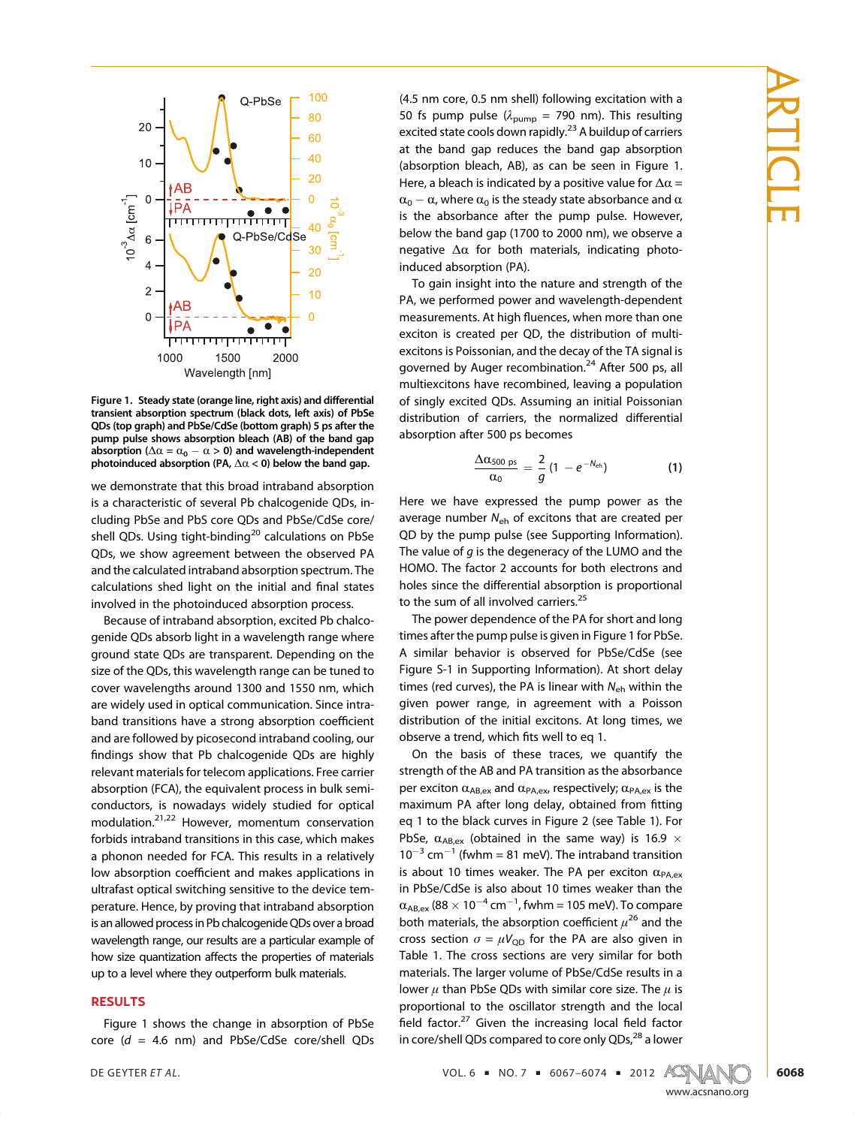

Figure 1. Steady state (orange line, right axis) and differential transient absorption spectrum (black dots, left axis) of PbSe QDs (top graph) and PbSe/CdSe (bottom graph) 5 ps after the pump pulse shows absorption bleach (AB) of the band gap absorption ( $\Delta \alpha = \alpha_0 - \alpha > 0$ ) and wavelength-independent photoinduced absorption (PA,  $\Delta \alpha$  < 0) below the band gap.

we demonstrate that this broad intraband absorption is a characteristic of several Pb chalcogenide QDs, including PbSe and PbS core QDs and PbSe/CdSe core/ shell QDs. Using tight-binding<sup>20</sup> calculations on PbSe QDs, we show agreement between the observed PA and the calculated intraband absorption spectrum. The calculations shed light on the initial and final states involved in the photoinduced absorption process.

Because of intraband absorption, excited Pb chalcogenide QDs absorb light in a wavelength range where ground state QDs are transparent. Depending on the size of the QDs, this wavelength range can be tuned to cover wavelengths around 1300 and 1550 nm, which are widely used in optical communication. Since intraband transitions have a strong absorption coefficient and are followed by picosecond intraband cooling, our findings show that Pb chalcogenide QDs are highly relevant materials for telecom applications. Free carrier absorption (FCA), the equivalent process in bulk semiconductors, is nowadays widely studied for optical modulation.21,22 However, momentum conservation forbids intraband transitions in this case, which makes a phonon needed for FCA. This results in a relatively low absorption coefficient and makes applications in ultrafast optical switching sensitive to the device temperature. Hence, by proving that intraband absorption is an allowed process in Pb chalcogenide QDs over a broad wavelength range, our results are a particular example of how size quantization affects the properties of materials up to a level where they outperform bulk materials.

#### RESULTS

Figure 1 shows the change in absorption of PbSe core ( $d = 4.6$  nm) and PbSe/CdSe core/shell QDs

(4.5 nm core, 0.5 nm shell) following excitation with a 50 fs pump pulse ( $\lambda_{\text{pump}}$  = 790 nm). This resulting excited state cools down rapidly.<sup>23</sup> A buildup of carriers at the band gap reduces the band gap absorption (absorption bleach, AB), as can be seen in Figure 1. Here, a bleach is indicated by a positive value for  $\Delta \alpha$  =  $\alpha_0 - \alpha$ , where  $\alpha_0$  is the steady state absorbance and  $\alpha$ is the absorbance after the pump pulse. However, below the band gap (1700 to 2000 nm), we observe a negative  $\Delta\alpha$  for both materials, indicating photoinduced absorption (PA).

To gain insight into the nature and strength of the PA, we performed power and wavelength-dependent measurements. At high fluences, when more than one exciton is created per QD, the distribution of multiexcitons is Poissonian, and the decay of the TA signal is governed by Auger recombination.<sup>24</sup> After 500 ps, all multiexcitons have recombined, leaving a population of singly excited QDs. Assuming an initial Poissonian distribution of carriers, the normalized differential absorption after 500 ps becomes

$$
\frac{\Delta \alpha_{500 \text{ ps}}}{\alpha_0} = \frac{2}{g} (1 - e^{-N_{\text{eh}}})
$$
 (1)

Here we have expressed the pump power as the average number  $N_{\text{eh}}$  of excitons that are created per QD by the pump pulse (see Supporting Information). The value of  $q$  is the degeneracy of the LUMO and the HOMO. The factor 2 accounts for both electrons and holes since the differential absorption is proportional to the sum of all involved carriers.<sup>25</sup>

The power dependence of the PA for short and long times after the pump pulse is given in Figure 1 for PbSe. A similar behavior is observed for PbSe/CdSe (see Figure S-1 in Supporting Information). At short delay times (red curves), the PA is linear with  $N_{\rm eh}$  within the given power range, in agreement with a Poisson distribution of the initial excitons. At long times, we observe a trend, which fits well to eq 1.

On the basis of these traces, we quantify the strength of the AB and PA transition as the absorbance per exciton  $\alpha_{AB,ex}$  and  $\alpha_{PA,ex}$ , respectively;  $\alpha_{PA,ex}$  is the maximum PA after long delay, obtained from fitting eq 1 to the black curves in Figure 2 (see Table 1). For PbSe,  $\alpha_{AB,ex}$  (obtained in the same way) is 16.9  $\times$  $10^{-3}$  cm<sup>-1</sup> (fwhm = 81 meV). The intraband transition is about 10 times weaker. The PA per exciton  $\alpha_{\text{PA-ex}}$ in PbSe/CdSe is also about 10 times weaker than the  $\alpha_{AB,ex}$  (88  $\times$  10<sup>-4</sup> cm<sup>-1</sup>, fwhm = 105 meV). To compare both materials, the absorption coefficient  $\mu^{26}$  and the cross section  $\sigma = \mu V_{\text{QD}}$  for the PA are also given in Table 1. The cross sections are very similar for both materials. The larger volume of PbSe/CdSe results in a lower  $\mu$  than PbSe QDs with similar core size. The  $\mu$  is proportional to the oscillator strength and the local field factor. $27$  Given the increasing local field factor in core/shell QDs compared to core only QDs,<sup>28</sup> a lower

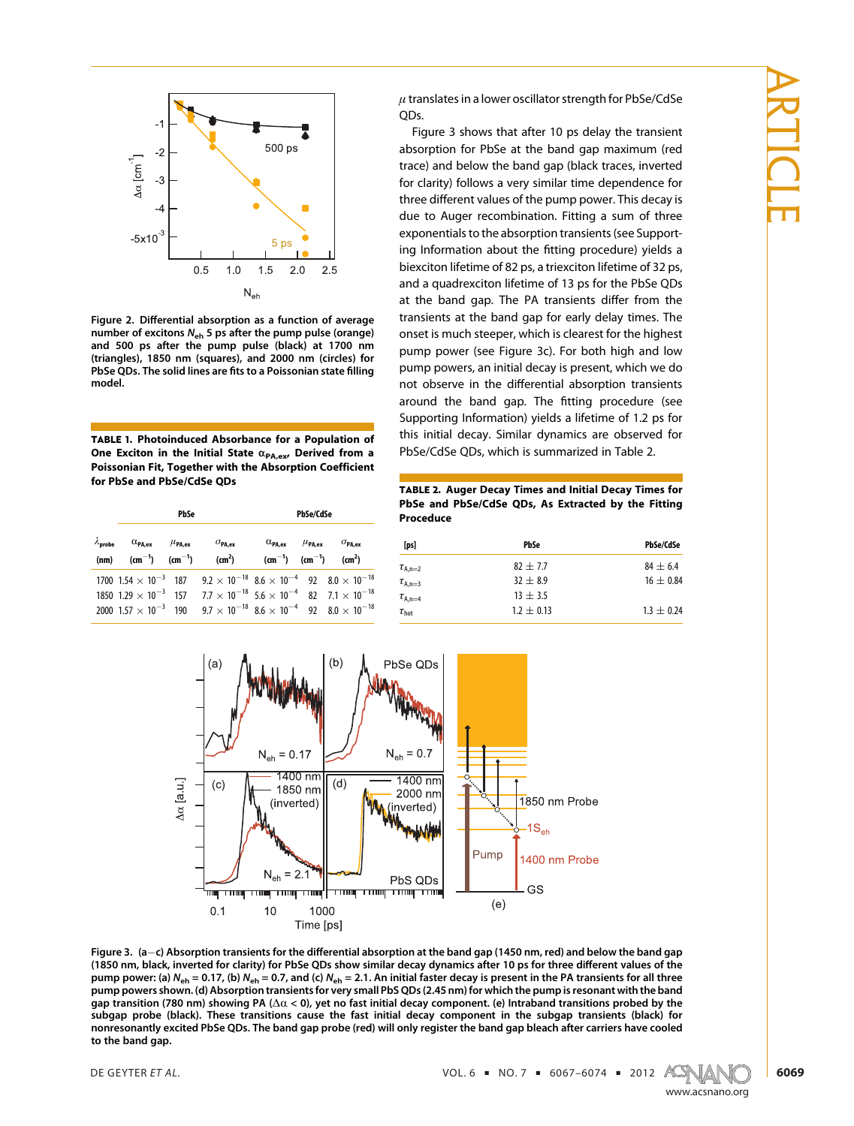

Figure 2. Differential absorption as a function of average number of excitons  $N_{eh}$  5 ps after the pump pulse (orange) and 500 ps after the pump pulse (black) at 1700 nm (triangles), 1850 nm (squares), and 2000 nm (circles) for PbSe QDs. The solid lines are fits to a Poissonian state filling model.

TABLE 1. Photoinduced Absorbance for a Population of One Exciton in the Initial State  $\alpha_{PA,ex}$ , Derived from a Poissonian Fit, Together with the Absorption Coefficient for PbSe and PbSe/CdSe QDs

|                                                                                               | PbSe |                                                                                                                                                                                                                                                                                                                            |                                                                            | PbSe/CdSe |  |
|-----------------------------------------------------------------------------------------------|------|----------------------------------------------------------------------------------------------------------------------------------------------------------------------------------------------------------------------------------------------------------------------------------------------------------------------------|----------------------------------------------------------------------------|-----------|--|
| $\lambda_{\text{probe}}$ $\alpha_{\text{PA,ex}}$ $\mu_{\text{PA,ex}}$ $\sigma_{\text{PA,ex}}$ |      | (nm) (cm <sup>-1</sup> ) (cm <sup>-1</sup> ) (cm <sup>2</sup> ) (cm <sup>-1</sup> ) (cm <sup>-1</sup> ) (cm <sup>2</sup> )                                                                                                                                                                                                 | $\alpha_{\texttt{PA,ex}}$ $\mu_{\texttt{PA,ex}}$ $\sigma_{\texttt{PA,ex}}$ |           |  |
|                                                                                               |      | $1700 \; 1.54 \times 10^{-3} \; 187 \; 9.2 \times 10^{-18} \; 8.6 \times 10^{-4} \; 92 \; 8.0 \times 10^{-18}$<br>1850 $1.29 \times 10^{-3}$ 157 $7.7 \times 10^{-18}$ 5.6 $\times 10^{-4}$ 82 $7.1 \times 10^{-18}$<br>2000 $1.57 \times 10^{-3}$ 190 $9.7 \times 10^{-18}$ $8.6 \times 10^{-4}$ 92 $8.0 \times 10^{-18}$ |                                                                            |           |  |

 $\mu$  translates in a lower oscillator strength for PbSe/CdSe QDs.

Figure 3 shows that after 10 ps delay the transient absorption for PbSe at the band gap maximum (red trace) and below the band gap (black traces, inverted for clarity) follows a very similar time dependence for three different values of the pump power. This decay is due to Auger recombination. Fitting a sum of three exponentials to the absorption transients (see Supporting Information about the fitting procedure) yields a biexciton lifetime of 82 ps, a triexciton lifetime of 32 ps, and a quadrexciton lifetime of 13 ps for the PbSe QDs at the band gap. The PA transients differ from the transients at the band gap for early delay times. The onset is much steeper, which is clearest for the highest pump power (see Figure 3c). For both high and low pump powers, an initial decay is present, which we do not observe in the differential absorption transients around the band gap. The fitting procedure (see Supporting Information) yields a lifetime of 1.2 ps for this initial decay. Similar dynamics are observed for PbSe/CdSe QDs, which is summarized in Table 2.

TABLE 2. Auger Decay Times and Initial Decay Times for PbSe and PbSe/CdSe QDs, As Extracted by the Fitting Proceduce

| [ps]                | PbSe         | <b>PbSe/CdSe</b> |
|---------------------|--------------|------------------|
| $\tau_{A,n=2}$      | $82 + 7.7$   | $84 + 6.4$       |
| $\tau_{A,n=3}$      | $32 + 8.9$   | $16 + 0.84$      |
| $\tau_{A,n=4}$      | $13 + 3.5$   |                  |
| $\tau_{\text{hot}}$ | $1.2 + 0.13$ | $1.3 + 0.24$     |



Figure 3.  $(a-c)$  Absorption transients for the differential absorption at the band gap (1450 nm, red) and below the band gap (1850 nm, black, inverted for clarity) for PbSe QDs show similar decay dynamics after 10 ps for three different values of the pump power: (a) N<sub>eh</sub> = 0.17, (b) N<sub>eh</sub> = 0.7, and (c) N<sub>eh</sub> = 2.1. An initial faster decay is present in the PA transients for all three pump powers shown. (d) Absorption transients for very small PbS QDs (2.45 nm) for which the pump is resonant with the band gap transition (780 nm) showing PA ( $\Delta\alpha$  < 0), yet no fast initial decay component. (e) Intraband transitions probed by the subgap probe (black). These transitions cause the fast initial decay component in the subgap transients (black) for nonresonantly excited PbSe QDs. The band gap probe (red) will only register the band gap bleach after carriers have cooled to the band gap.

DE GEYTER *ET AL.*  $\blacksquare$  2012  $\blacksquare$   $\blacksquare$   $\blacksquare$   $\blacksquare$   $\blacksquare$   $\blacksquare$   $\blacksquare$   $\blacksquare$   $\blacksquare$   $\blacksquare$   $\blacksquare$   $\blacksquare$   $\blacksquare$   $\blacksquare$   $\blacksquare$   $\blacksquare$   $\blacksquare$   $\blacksquare$   $\blacksquare$   $\blacksquare$   $\blacksquare$   $\blacksquare$   $\blacksquare$   $\blacksquare$   $\blacksquare$   $\blacksquare$   $\blacksquare$ 

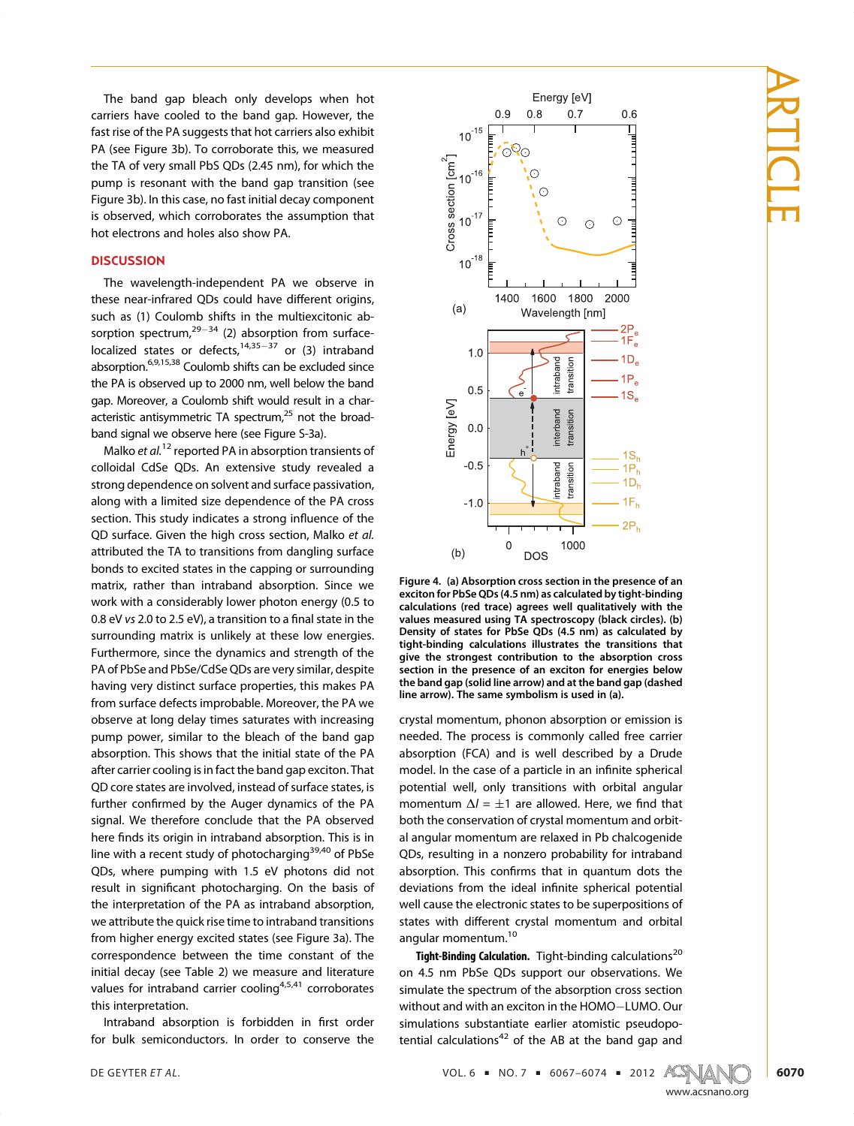The band gap bleach only develops when hot carriers have cooled to the band gap. However, the fast rise of the PA suggests that hot carriers also exhibit PA (see Figure 3b). To corroborate this, we measured the TA of very small PbS QDs (2.45 nm), for which the pump is resonant with the band gap transition (see Figure 3b). In this case, no fast initial decay component is observed, which corroborates the assumption that hot electrons and holes also show PA.

## **DISCUSSION**

The wavelength-independent PA we observe in these near-infrared QDs could have different origins, such as (1) Coulomb shifts in the multiexcitonic absorption spectrum,<sup>29-34</sup> (2) absorption from surfacelocalized states or defects,<sup>14,35-37</sup> or (3) intraband absorption.<sup>6,9,15,38</sup> Coulomb shifts can be excluded since the PA is observed up to 2000 nm, well below the band gap. Moreover, a Coulomb shift would result in a characteristic antisymmetric TA spectrum, $25$  not the broadband signal we observe here (see Figure S-3a).

Malko et al.<sup>12</sup> reported PA in absorption transients of colloidal CdSe QDs. An extensive study revealed a strong dependence on solvent and surface passivation, along with a limited size dependence of the PA cross section. This study indicates a strong influence of the QD surface. Given the high cross section, Malko et al. attributed the TA to transitions from dangling surface bonds to excited states in the capping or surrounding matrix, rather than intraband absorption. Since we work with a considerably lower photon energy (0.5 to 0.8 eV vs 2.0 to 2.5 eV), a transition to a final state in the surrounding matrix is unlikely at these low energies. Furthermore, since the dynamics and strength of the PA of PbSe and PbSe/CdSe QDs are very similar, despite having very distinct surface properties, this makes PA from surface defects improbable. Moreover, the PA we observe at long delay times saturates with increasing pump power, similar to the bleach of the band gap absorption. This shows that the initial state of the PA after carrier cooling is in fact the band gap exciton. That QD core states are involved, instead of surface states, is further confirmed by the Auger dynamics of the PA signal. We therefore conclude that the PA observed here finds its origin in intraband absorption. This is in line with a recent study of photocharging $39,40$  of PbSe QDs, where pumping with 1.5 eV photons did not result in significant photocharging. On the basis of the interpretation of the PA as intraband absorption, we attribute the quick rise time to intraband transitions from higher energy excited states (see Figure 3a). The correspondence between the time constant of the initial decay (see Table 2) we measure and literature values for intraband carrier cooling<sup>4,5,41</sup> corroborates this interpretation.

Intraband absorption is forbidden in first order for bulk semiconductors. In order to conserve the



Figure 4. (a) Absorption cross section in the presence of an exciton for PbSe QDs (4.5 nm) as calculated by tight-binding calculations (red trace) agrees well qualitatively with the values measured using TA spectroscopy (black circles). (b) Density of states for PbSe QDs (4.5 nm) as calculated by tight-binding calculations illustrates the transitions that give the strongest contribution to the absorption cross section in the presence of an exciton for energies below the band gap (solid line arrow) and at the band gap (dashed line arrow). The same symbolism is used in (a).

crystal momentum, phonon absorption or emission is needed. The process is commonly called free carrier absorption (FCA) and is well described by a Drude model. In the case of a particle in an infinite spherical potential well, only transitions with orbital angular momentum  $\Delta l = \pm 1$  are allowed. Here, we find that both the conservation of crystal momentum and orbital angular momentum are relaxed in Pb chalcogenide QDs, resulting in a nonzero probability for intraband absorption. This confirms that in quantum dots the deviations from the ideal infinite spherical potential well cause the electronic states to be superpositions of states with different crystal momentum and orbital angular momentum.<sup>10</sup>

Tight-Binding Calculation. Tight-binding calculations<sup>20</sup> on 4.5 nm PbSe QDs support our observations. We simulate the spectrum of the absorption cross section without and with an exciton in the HOMO-LUMO. Our simulations substantiate earlier atomistic pseudopotential calculations $42$  of the AB at the band gap and

DE GEYTER *ET AL*.

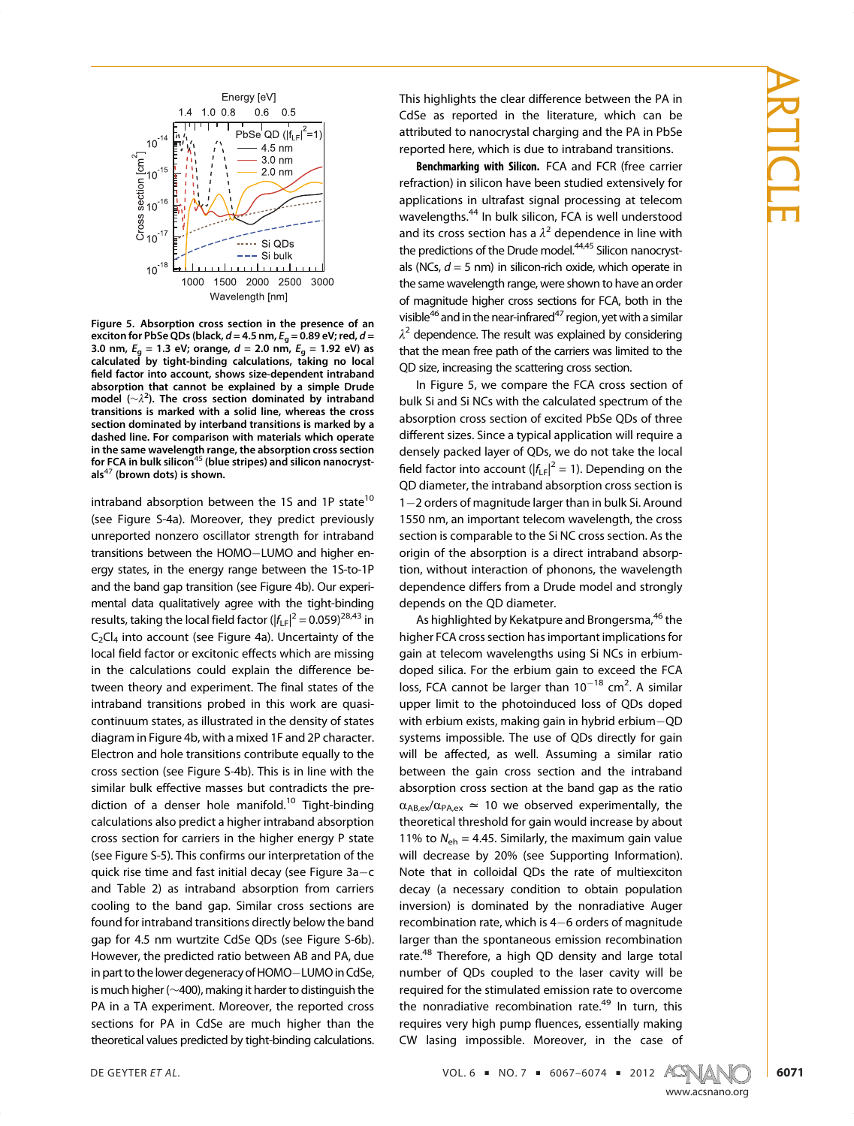

Figure 5. Absorption cross section in the presence of an exciton for PbSe QDs (black,  $d = 4.5$  nm,  $E_g = 0.89$  eV; red,  $d =$ 3.0 nm,  $E_a = 1.3$  eV; orange,  $d = 2.0$  nm,  $E_a = 1.92$  eV) as calculated by tight-binding calculations, taking no local field factor into account, shows size-dependent intraband absorption that cannot be explained by a simple Drude model ( $\sim \lambda^2$ ). The cross section dominated by intraband transitions is marked with a solid line, whereas the cross section dominated by interband transitions is marked by a dashed line. For comparison with materials which operate in the same wavelength range, the absorption cross section for FCA in bulk silicon<sup>45</sup> (blue stripes) and silicon nanocrystals $47$  (brown dots) is shown.

intraband absorption between the 1S and 1P state<sup>10</sup> (see Figure S-4a). Moreover, they predict previously unreported nonzero oscillator strength for intraband transitions between the HOMO-LUMO and higher energy states, in the energy range between the 1S-to-1P and the band gap transition (see Figure 4b). Our experimental data qualitatively agree with the tight-binding results, taking the local field factor ( $|f_{LF}|^2 = 0.059)^{28,43}$  in  $C_2Cl_4$  into account (see Figure 4a). Uncertainty of the local field factor or excitonic effects which are missing in the calculations could explain the difference between theory and experiment. The final states of the intraband transitions probed in this work are quasicontinuum states, as illustrated in the density of states diagram in Figure 4b, with a mixed 1F and 2P character. Electron and hole transitions contribute equally to the cross section (see Figure S-4b). This is in line with the similar bulk effective masses but contradicts the prediction of a denser hole manifold.<sup>10</sup> Tight-binding calculations also predict a higher intraband absorption cross section for carriers in the higher energy P state (see Figure S-5). This confirms our interpretation of the quick rise time and fast initial decay (see Figure  $3a-c$ and Table 2) as intraband absorption from carriers cooling to the band gap. Similar cross sections are found for intraband transitions directly below the band gap for 4.5 nm wurtzite CdSe QDs (see Figure S-6b). However, the predicted ratio between AB and PA, due in part to the lower degeneracy of HOMO-LUMO in CdSe, is much higher (∼400), making it harder to distinguish the PA in a TA experiment. Moreover, the reported cross sections for PA in CdSe are much higher than the theoretical values predicted by tight-binding calculations.

This highlights the clear difference between the PA in CdSe as reported in the literature, which can be attributed to nanocrystal charging and the PA in PbSe reported here, which is due to intraband transitions.

Benchmarking with Silicon. FCA and FCR (free carrier refraction) in silicon have been studied extensively for applications in ultrafast signal processing at telecom wavelengths.<sup>44</sup> In bulk silicon, FCA is well understood and its cross section has a  $\lambda^2$  dependence in line with the predictions of the Drude model.<sup>44,45</sup> Silicon nanocrystals (NCs,  $d = 5$  nm) in silicon-rich oxide, which operate in the same wavelength range, were shown to have an order of magnitude higher cross sections for FCA, both in the visible<sup>46</sup> and in the near-infrared<sup>47</sup> region, yet with a similar  $\lambda^2$  dependence. The result was explained by considering that the mean free path of the carriers was limited to the QD size, increasing the scattering cross section.

In Figure 5, we compare the FCA cross section of bulk Si and Si NCs with the calculated spectrum of the absorption cross section of excited PbSe QDs of three different sizes. Since a typical application will require a densely packed layer of QDs, we do not take the local field factor into account ( $|f_{LF}|^2 = 1$ ). Depending on the QD diameter, the intraband absorption cross section is 1-2 orders of magnitude larger than in bulk Si. Around 1550 nm, an important telecom wavelength, the cross section is comparable to the Si NC cross section. As the origin of the absorption is a direct intraband absorption, without interaction of phonons, the wavelength dependence differs from a Drude model and strongly depends on the QD diameter.

As highlighted by Kekatpure and Brongersma,<sup>46</sup> the higher FCA cross section has important implications for gain at telecom wavelengths using Si NCs in erbiumdoped silica. For the erbium gain to exceed the FCA loss, FCA cannot be larger than  $10^{-18}$  cm<sup>2</sup>. A similar upper limit to the photoinduced loss of QDs doped with erbium exists, making gain in hybrid erbium $-QD$ systems impossible. The use of QDs directly for gain will be affected, as well. Assuming a similar ratio between the gain cross section and the intraband absorption cross section at the band gap as the ratio  $\alpha_{AB,ex}/\alpha_{PA,ex} \simeq 10$  we observed experimentally, the theoretical threshold for gain would increase by about 11% to  $N_{\text{eh}}$  = 4.45. Similarly, the maximum gain value will decrease by 20% (see Supporting Information). Note that in colloidal QDs the rate of multiexciton decay (a necessary condition to obtain population inversion) is dominated by the nonradiative Auger recombination rate, which is  $4-6$  orders of magnitude larger than the spontaneous emission recombination rate.<sup>48</sup> Therefore, a high QD density and large total number of QDs coupled to the laser cavity will be required for the stimulated emission rate to overcome the nonradiative recombination rate.<sup>49</sup> In turn, this requires very high pump fluences, essentially making CW lasing impossible. Moreover, in the case of

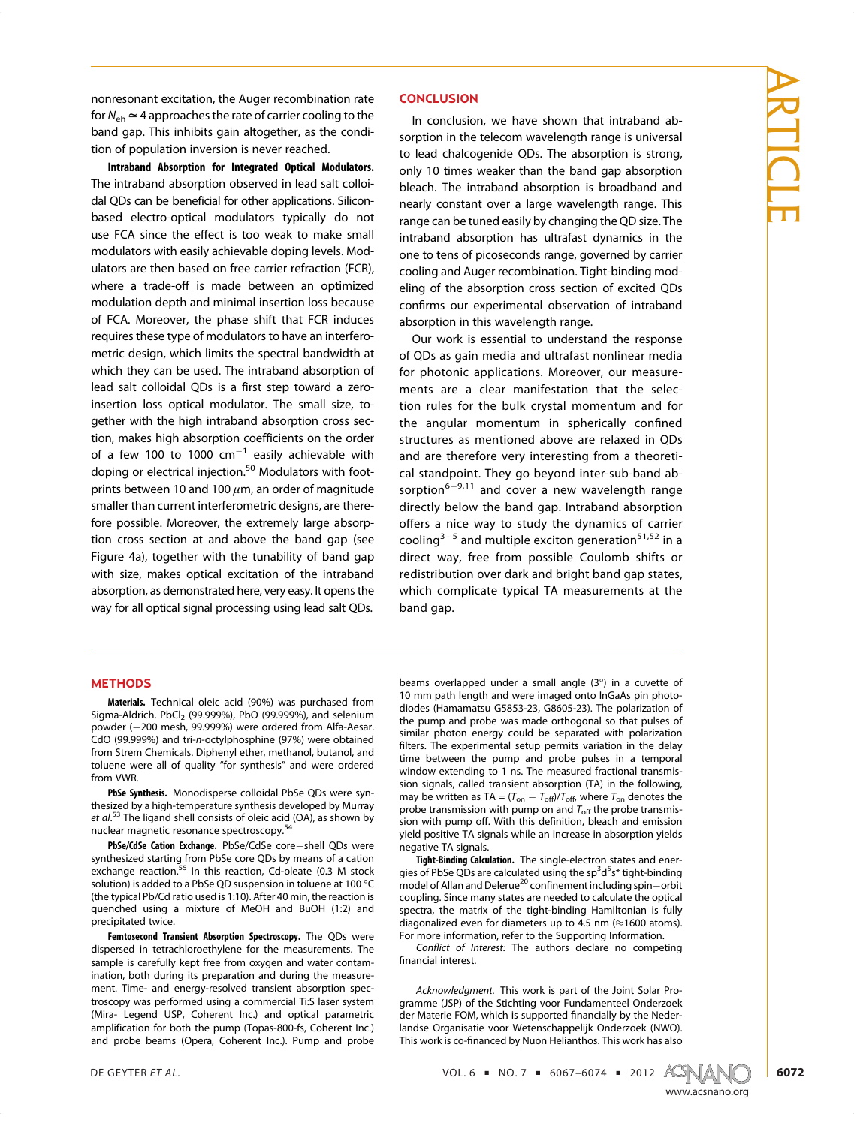nonresonant excitation, the Auger recombination rate for  $N_{\rm eh} \simeq 4$  approaches the rate of carrier cooling to the band gap. This inhibits gain altogether, as the condition of population inversion is never reached.

Intraband Absorption for Integrated Optical Modulators. The intraband absorption observed in lead salt colloidal QDs can be beneficial for other applications. Siliconbased electro-optical modulators typically do not use FCA since the effect is too weak to make small modulators with easily achievable doping levels. Modulators are then based on free carrier refraction (FCR), where a trade-off is made between an optimized modulation depth and minimal insertion loss because of FCA. Moreover, the phase shift that FCR induces requires these type of modulators to have an interferometric design, which limits the spectral bandwidth at which they can be used. The intraband absorption of lead salt colloidal QDs is a first step toward a zeroinsertion loss optical modulator. The small size, together with the high intraband absorption cross section, makes high absorption coefficients on the order of a few 100 to 1000  $cm^{-1}$  easily achievable with doping or electrical injection.<sup>50</sup> Modulators with footprints between 10 and 100  $\mu$ m, an order of magnitude smaller than current interferometric designs, are therefore possible. Moreover, the extremely large absorption cross section at and above the band gap (see Figure 4a), together with the tunability of band gap with size, makes optical excitation of the intraband absorption, as demonstrated here, very easy. It opens the way for all optical signal processing using lead salt QDs.

# **METHODS**

Materials. Technical oleic acid (90%) was purchased from Sigma-Aldrich.  $PbCl<sub>2</sub>$  (99.999%), PbO (99.999%), and selenium powder (-200 mesh, 99.999%) were ordered from Alfa-Aesar. CdO (99.999%) and tri-n-octylphosphine (97%) were obtained from Strem Chemicals. Diphenyl ether, methanol, butanol, and toluene were all of quality "for synthesis" and were ordered from VWR.

PbSe Synthesis. Monodisperse colloidal PbSe QDs were synthesized by a high-temperature synthesis developed by Murray et al.<sup>53</sup> The ligand shell consists of oleic acid (OA), as shown by nuclear magnetic resonance spectroscopy.<sup>54</sup>

PbSe/CdSe Cation Exchange. PbSe/CdSe core-shell QDs were synthesized starting from PbSe core QDs by means of a cation<br>exchange reaction.<sup>55</sup> In this reaction, Cd-oleate (0.3 M stock solution) is added to a PbSe QD suspension in toluene at 100 °C (the typical Pb/Cd ratio used is 1:10). After 40 min, the reaction is quenched using a mixture of MeOH and BuOH (1:2) and precipitated twice.

Femtosecond Transient Absorption Spectroscopy. The QDs were dispersed in tetrachloroethylene for the measurements. The sample is carefully kept free from oxygen and water contamination, both during its preparation and during the measurement. Time- and energy-resolved transient absorption spectroscopy was performed using a commercial Ti:S laser system (Mira- Legend USP, Coherent Inc.) and optical parametric amplification for both the pump (Topas-800-fs, Coherent Inc.) and probe beams (Opera, Coherent Inc.). Pump and probe

### **CONCLUSION**

In conclusion, we have shown that intraband absorption in the telecom wavelength range is universal to lead chalcogenide QDs. The absorption is strong, only 10 times weaker than the band gap absorption bleach. The intraband absorption is broadband and nearly constant over a large wavelength range. This range can be tuned easily by changing the QD size. The intraband absorption has ultrafast dynamics in the one to tens of picoseconds range, governed by carrier cooling and Auger recombination. Tight-binding modeling of the absorption cross section of excited QDs confirms our experimental observation of intraband absorption in this wavelength range.

Our work is essential to understand the response of QDs as gain media and ultrafast nonlinear media for photonic applications. Moreover, our measurements are a clear manifestation that the selection rules for the bulk crystal momentum and for the angular momentum in spherically confined structures as mentioned above are relaxed in QDs and are therefore very interesting from a theoretical standpoint. They go beyond inter-sub-band absorption<sup>6-9,11</sup> and cover a new wavelength range directly below the band gap. Intraband absorption offers a nice way to study the dynamics of carrier cooling<sup>3-5</sup> and multiple exciton generation<sup>51,52</sup> in a direct way, free from possible Coulomb shifts or redistribution over dark and bright band gap states, which complicate typical TA measurements at the band gap.

beams overlapped under a small angle  $(3^{\circ})$  in a cuvette of 10 mm path length and were imaged onto InGaAs pin photodiodes (Hamamatsu G5853-23, G8605-23). The polarization of the pump and probe was made orthogonal so that pulses of similar photon energy could be separated with polarization filters. The experimental setup permits variation in the delay time between the pump and probe pulses in a temporal window extending to 1 ns. The measured fractional transmission signals, called transient absorption (TA) in the following, may be written as TA =  $(T_{on} - T_{off})/T_{off}$ , where  $T_{on}$  denotes the probe transmission with pump on and  $T_{\text{off}}$  the probe transmission with pump off. With this definition, bleach and emission yield positive TA signals while an increase in absorption yields negative TA signals.

Tight-Binding Calculation. The single-electron states and energies of PbSe QDs are calculated using the sp<sup>3</sup>d<sup>5</sup>s\* tight-binding model of Allan and Delerue<sup>20</sup> confinement including spin-orbit coupling. Since many states are needed to calculate the optical spectra, the matrix of the tight-binding Hamiltonian is fully diagonalized even for diameters up to 4.5 nm ( $\approx$ 1600 atoms). For more information, refer to the Supporting Information.

Conflict of Interest: The authors declare no competing financial interest.

Acknowledgment. This work is part of the Joint Solar Programme (JSP) of the Stichting voor Fundamenteel Onderzoek der Materie FOM, which is supported financially by the Nederlandse Organisatie voor Wetenschappelijk Onderzoek (NWO). This work is co-financed by Nuon Helianthos. This work has also

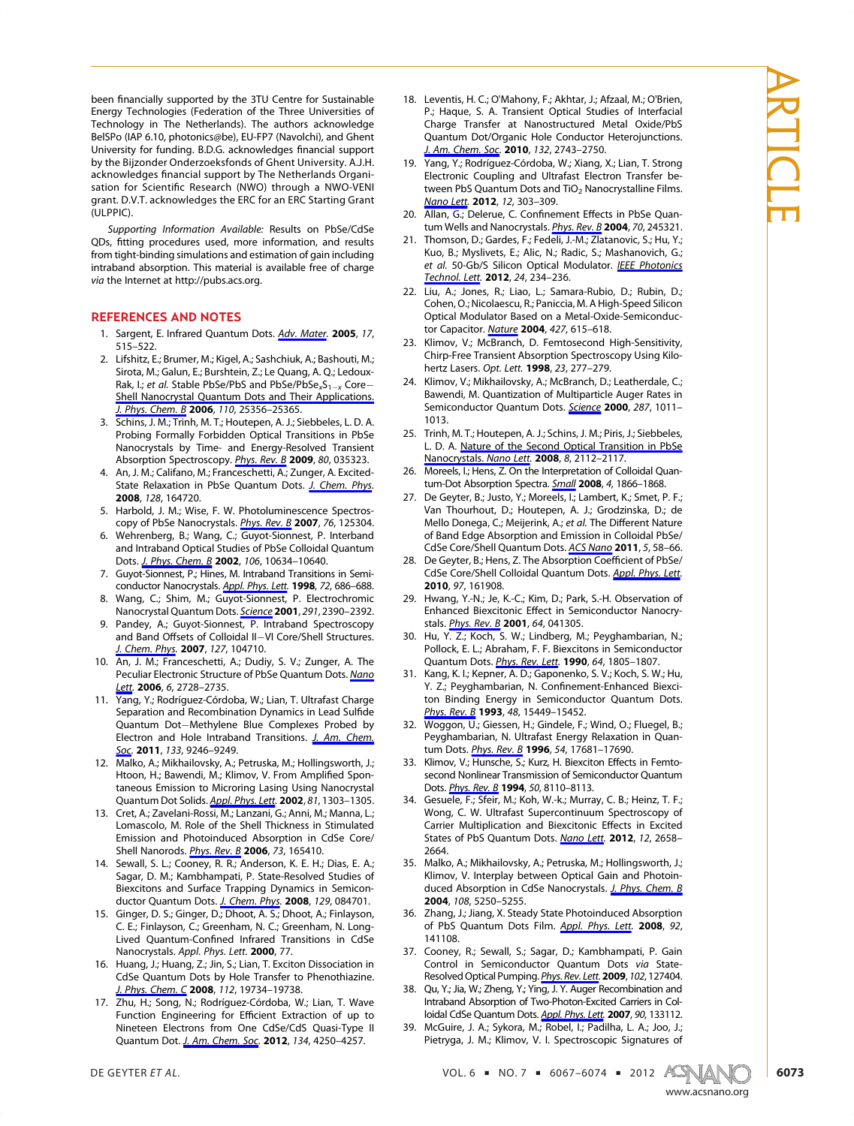been financially supported by the 3TU Centre for Sustainable Energy Technologies (Federation of the Three Universities of Technology in The Netherlands). The authors acknowledge BelSPo (IAP 6.10, photonics@be), EU-FP7 (Navolchi), and Ghent University for funding. B.D.G. acknowledges financial support by the Bijzonder Onderzoeksfonds of Ghent University. A.J.H. acknowledges financial support by The Netherlands Organisation for Scientific Research (NWO) through a NWO-VENI grant. D.V.T. acknowledges the ERC for an ERC Starting Grant (ULPPIC).

Supporting Information Available: Results on PbSe/CdSe QDs, fitting procedures used, more information, and results from tight-binding simulations and estimation of gain including intraband absorption. This material is available free of charge via the Internet at http://pubs.acs.org.

#### REFERENCES AND NOTES

- 1. Sargent, E. Infrared Quantum Dots. Adv. Mater. 2005, 17, 515–522.
- 2. Lifshitz, E.; Brumer, M.; Kigel, A.; Sashchiuk, A.; Bashouti, M.; Sirota, M.; Galun, E.; Burshtein, Z.; Le Quang, A. Q.; Ledoux-Rak, I.; et al. Stable PbSe/PbS and PbSe/PbSe<sub>x</sub>S<sub>1-x</sub> Core-Shell Nanocrystal Quantum Dots and Their Applications. J. Phys. Chem. B 2006, 110, 25356–25365.
- 3. Schins, J. M.; Trinh, M. T.; Houtepen, A. J.; Siebbeles, L. D. A. Probing Formally Forbidden Optical Transitions in PbSe Nanocrystals by Time- and Energy-Resolved Transient Absorption Spectroscopy. Phys. Rev. B 2009, 80, 035323.
- 4. An, J. M.; Califano, M.; Franceschetti, A.; Zunger, A. Excited-State Relaxation in PbSe Quantum Dots. J. Chem. Phys. 2008, 128, 164720.
- 5. Harbold, J. M.; Wise, F. W. Photoluminescence Spectroscopy of PbSe Nanocrystals. Phys. Rev. B 2007, 76, 125304.
- 6. Wehrenberg, B.; Wang, C.; Guyot-Sionnest, P. Interband and Intraband Optical Studies of PbSe Colloidal Quantum Dots. J. Phys. Chem. B 2002, 106, 10634-10640.
- 7. Guyot-Sionnest, P.; Hines, M. Intraband Transitions in Semiconductor Nanocrystals. Appl. Phys. Lett. 1998, 72, 686-688.
- Wang, C.; Shim, M.; Guyot-Sionnest, P. Electrochromic Nanocrystal Quantum Dots. Science 2001, 291, 2390-2392.
- 9. Pandey, A.; Guyot-Sionnest, P. Intraband Spectroscopy and Band Offsets of Colloidal II-VI Core/Shell Structures. J. Chem. Phys. 2007, 127, 104710.
- 10. An, J. M.; Franceschetti, A.; Dudiy, S. V.; Zunger, A. The Peculiar Electronic Structure of PbSe Quantum Dots. Nano Lett. 2006, 6, 2728-2735.
- 11. Yang, Y.; Rodríguez-Córdoba, W.; Lian, T. Ultrafast Charge Separation and Recombination Dynamics in Lead Sulfide Quantum Dot-Methylene Blue Complexes Probed by Electron and Hole Intraband Transitions. J. Am. Chem. Soc. 2011, 133, 9246-9249.
- 12. Malko, A.; Mikhailovsky, A.; Petruska, M.; Hollingsworth, J.; Htoon, H.; Bawendi, M.; Klimov, V. From Amplified Spontaneous Emission to Microring Lasing Using Nanocrystal Quantum Dot Solids. Appl. Phys. Lett. 2002, 81, 1303-1305.
- 13. Cret, A.; Zavelani-Rossi, M.; Lanzani, G.; Anni, M.; Manna, L.; Lomascolo, M. Role of the Shell Thickness in Stimulated Emission and Photoinduced Absorption in CdSe Core/ Shell Nanorods. *Phys. Rev. B* 2006, 73, 165410.
- 14. Sewall, S. L.; Cooney, R. R.; Anderson, K. E. H.; Dias, E. A.; Sagar, D. M.; Kambhampati, P. State-Resolved Studies of Biexcitons and Surface Trapping Dynamics in Semiconductor Quantum Dots. J. Chem. Phys. 2008, 129, 084701.
- 15. Ginger, D. S.; Ginger, D.; Dhoot, A. S.; Dhoot, A.; Finlayson, C. E.; Finlayson, C.; Greenham, N. C.; Greenham, N. Long-Lived Quantum-Confined Infrared Transitions in CdSe Nanocrystals. Appl. Phys. Lett. 2000, 77.
- 16. Huang, J.; Huang, Z.; Jin, S.; Lian, T. Exciton Dissociation in CdSe Quantum Dots by Hole Transfer to Phenothiazine. J. Phys. Chem. C 2008, 112, 19734-19738.
- 17. Zhu, H.; Song, N.; Rodríguez-Córdoba, W.; Lian, T. Wave Function Engineering for Efficient Extraction of up to Nineteen Electrons from One CdSe/CdS Quasi-Type II Quantum Dot. J. Am. Chem. Soc. 2012, 134, 4250-4257.
- 18. Leventis, H. C.; O'Mahony, F.; Akhtar, J.; Afzaal, M.; O'Brien, P.; Haque, S. A. Transient Optical Studies of Interfacial Charge Transfer at Nanostructured Metal Oxide/PbS Quantum Dot/Organic Hole Conductor Heterojunctions. J. Am. Chem. Soc. 2010, 132, 2743-2750.
- 19. Yang, Y.; Rodríguez-Córdoba, W.; Xiang, X.; Lian, T. Strong Electronic Coupling and Ultrafast Electron Transfer between PbS Quantum Dots and  $TiO<sub>2</sub>$  Nanocrystalline Films. Nano Lett. 2012, 12, 303–309.
- 20. Allan, G.; Delerue, C. Confinement Effects in PbSe Quantum Wells and Nanocrystals. Phys. Rev. B 2004, 70, 245321.
- 21. Thomson, D.; Gardes, F.; Fedeli, J.-M.; Zlatanovic, S.; Hu, Y.; Kuo, B.; Myslivets, E.; Alic, N.; Radic, S.; Mashanovich, G.; et al. 50-Gb/S Silicon Optical Modulator. IEEE Photonics Technol. Lett. 2012, 24, 234-236.
- 22. Liu, A.; Jones, R.; Liao, L.; Samara-Rubio, D.; Rubin, D.; Cohen, O.; Nicolaescu, R.; Paniccia, M. A High-Speed Silicon Optical Modulator Based on a Metal-Oxide-Semiconductor Capacitor. Nature 2004, 427, 615-618.
- 23. Klimov, V.; McBranch, D. Femtosecond High-Sensitivity, Chirp-Free Transient Absorption Spectroscopy Using Kilohertz Lasers. Opt. Lett. 1998, 23, 277-279.
- 24. Klimov, V.; Mikhailovsky, A.; McBranch, D.; Leatherdale, C.; Bawendi, M. Quantization of Multiparticle Auger Rates in Semiconductor Quantum Dots. Science 2000, 287, 1011-1013.
- 25. Trinh, M. T.; Houtepen, A. J.; Schins, J. M.; Piris, J.; Siebbeles, L. D. A. Nature of the Second Optical Transition in PbSe Nanocrystals. Nano Lett. 2008, 8, 2112-2117.
- 26. Moreels, I.; Hens, Z. On the Interpretation of Colloidal Quantum-Dot Absorption Spectra. Small 2008, 4, 1866-1868.
- 27. De Geyter, B.; Justo, Y.; Moreels, I.; Lambert, K.; Smet, P. F.; Van Thourhout, D.; Houtepen, A. J.; Grodzinska, D.; de Mello Donega, C.; Meijerink, A.; et al. The Different Nature of Band Edge Absorption and Emission in Colloidal PbSe/ CdSe Core/Shell Quantum Dots. ACS Nano 2011, 5, 58-66.
- 28. De Geyter, B.; Hens, Z. The Absorption Coefficient of PbSe/ CdSe Core/Shell Colloidal Quantum Dots. Appl. Phys. Lett. 2010, 97, 161908.
- 29. Hwang, Y.-N.; Je, K.-C.; Kim, D.; Park, S.-H. Observation of Enhanced Biexcitonic Effect in Semiconductor Nanocrystals. *Phys. Rev. B* 2001, 64, 041305.
- 30. Hu, Y. Z.; Koch, S. W.; Lindberg, M.; Peyghambarian, N.; Pollock, E. L.; Abraham, F. F. Biexcitons in Semiconductor Quantum Dots. *Phys. Rev. Lett.* 1990, 64, 1805-1807.
- 31. Kang, K. I.; Kepner, A. D.; Gaponenko, S. V.; Koch, S. W.; Hu, Y. Z.; Peyghambarian, N. Confinement-Enhanced Biexciton Binding Energy in Semiconductor Quantum Dots. Phys. Rev. B 1993, 48, 15449-15452.
- 32. Woggon, U.; Giessen, H.; Gindele, F.; Wind, O.; Fluegel, B.; Peyghambarian, N. Ultrafast Energy Relaxation in Quantum Dots. *Phys. Rev. B* 1996, 54, 17681-17690.
- 33. Klimov, V.; Hunsche, S.; Kurz, H. Biexciton Effects in Femtosecond Nonlinear Transmission of Semiconductor Quantum Dots. *Phys. Rev. B* 1994, 50, 8110-8113.
- 34. Gesuele, F.; Sfeir, M.; Koh, W.-k.; Murray, C. B.; Heinz, T. F.; Wong, C. W. Ultrafast Supercontinuum Spectroscopy of Carrier Multiplication and Biexcitonic Effects in Excited States of PbS Quantum Dots. Nano Lett. 2012, 12, 2658-2664.
- 35. Malko, A.; Mikhailovsky, A.; Petruska, M.; Hollingsworth, J.; Klimov, V. Interplay between Optical Gain and Photoinduced Absorption in CdSe Nanocrystals. J. Phys. Chem. B 2004, 108, 5250–5255.
- 36. Zhang, J.; Jiang, X. Steady State Photoinduced Absorption of PbS Quantum Dots Film. Appl. Phys. Lett. 2008, 92, 141108.
- 37. Cooney, R.; Sewall, S.; Sagar, D.; Kambhampati, P. Gain Control in Semiconductor Quantum Dots via State-Resolved Optical Pumping. Phys. Rev. Lett. 2009, 102, 127404.
- 38. Qu, Y.; Jia, W.; Zheng, Y.; Ying, J. Y. Auger Recombination and Intraband Absorption of Two-Photon-Excited Carriers in Colloidal CdSe Quantum Dots. Appl. Phys. Lett. 2007, 90, 133112.
- 39. McGuire, J. A.; Sykora, M.; Robel, I.; Padilha, L. A.; Joo, J.; Pietryga, J. M.; Klimov, V. I. Spectroscopic Signatures of